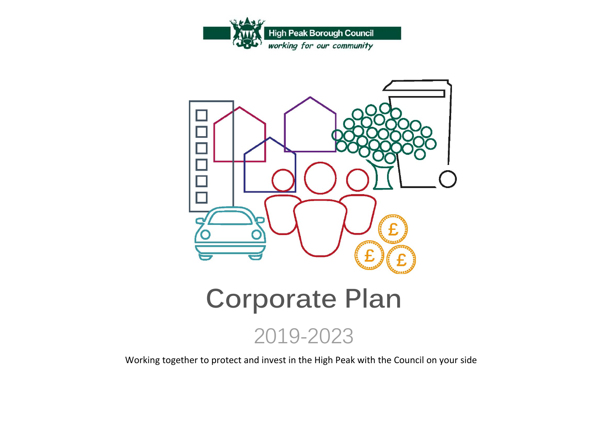



## **Corporate Plan**



Working together to protect and invest in the High Peak with the Council on your side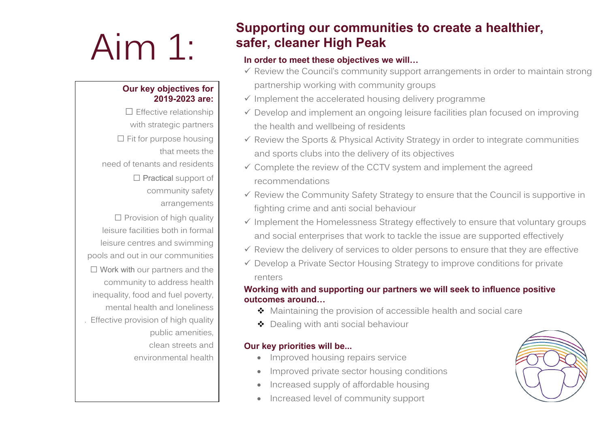# Aim 1:

#### **Our key objectives for 2019-2023 are:**

 $\square$  Effective relationship with strategic partners  $\Box$  Fit for purpose housing that meets the need of tenants and residents  $\Box$  Practical support of community safety arrangements  $\square$  Provision of high quality leisure facilities both in formal leisure centres and swimming pools and out in our communities  $\Box$  Work with our partners and the community to address health inequality, food and fuel poverty, mental health and loneliness . Effective provision of high quality public amenities, clean streets and environmental health

## **Supporting our communities to create a healthier, safer, cleaner High Peak**

#### **In order to meet these objectives we will…**

- $\checkmark$  Review the Council's community support arrangements in order to maintain strong partnership working with community groups
- $\checkmark$  Implement the accelerated housing delivery programme
- $\checkmark$  Develop and implement an ongoing leisure facilities plan focused on improving the health and wellbeing of residents
- $\checkmark$  Review the Sports & Physical Activity Strategy in order to integrate communities and sports clubs into the delivery of its objectives
- $\checkmark$  Complete the review of the CCTV system and implement the agreed recommendations
- $\checkmark$  Review the Community Safety Strategy to ensure that the Council is supportive in fighting crime and anti social behaviour
- $\checkmark$  Implement the Homelessness Strategy effectively to ensure that voluntary groups and social enterprises that work to tackle the issue are supported effectively
- $\checkmark$  Review the delivery of services to older persons to ensure that they are effective
- $\checkmark$  Develop a Private Sector Housing Strategy to improve conditions for private renters

### **Working with and supporting our partners we will seek to influence positive outcomes around…**

- ◆ Maintaining the provision of accessible health and social care
- ◆ Dealing with anti social behaviour

### **Our key priorities will be...**

- Improved housing repairs service
- Improved private sector housing conditions
- Increased supply of affordable housing
- Increased level of community support

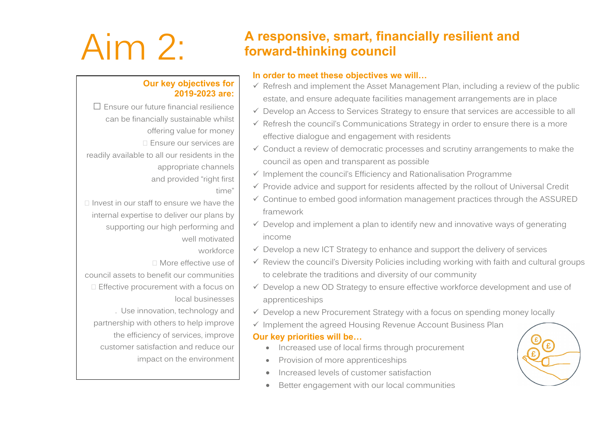#### **Our key objectives for 2019-2023 are:**

 Ensure our future financial resilience can be financially sustainable whilst offering value for money □ Ensure our services are readily available to all our residents in the appropriate channels and provided "right first

time"

- $\Box$  Invest in our staff to ensure we have the internal expertise to deliver our plans by supporting our high performing and well motivated
	- workforce
	- More effective use of

council assets to benefit our communities **Effective procurement with a focus on** local businesses

. Use innovation, technology and partnership with others to help improve the efficiency of services, improve customer satisfaction and reduce our impact on the environment

## Aim 2: **<sup>A</sup> responsive, smart, financially resilient and forward-thinking council**

#### **In order to meet these objectives we will…**

- $\checkmark$  Refresh and implement the Asset Management Plan, including a review of the public estate, and ensure adequate facilities management arrangements are in place
- Develop an Access to Services Strategy to ensure that services are accessible to all
- $\checkmark$  Refresh the council's Communications Strategy in order to ensure there is a more effective dialogue and engagement with residents
- $\checkmark$  Conduct a review of democratic processes and scrutiny arrangements to make the council as open and transparent as possible
- $\checkmark$  Implement the council's Efficiency and Rationalisation Programme
- $\checkmark$  Provide advice and support for residents affected by the rollout of Universal Credit
- $\checkmark$  Continue to embed good information management practices through the ASSURED framework
- $\checkmark$  Develop and implement a plan to identify new and innovative ways of generating income
- $\checkmark$  Develop a new ICT Strategy to enhance and support the delivery of services
- $\checkmark$  Review the council's Diversity Policies including working with faith and cultural groups to celebrate the traditions and diversity of our community
- $\checkmark$  Develop a new OD Strategy to ensure effective workforce development and use of apprenticeships
- $\checkmark$  Develop a new Procurement Strategy with a focus on spending money locally
- $\checkmark$  Implement the agreed Housing Revenue Account Business Plan

#### **Our key priorities will be…**

- Increased use of local firms through procurement
- Provision of more apprenticeships
- Increased levels of customer satisfaction
- Better engagement with our local communities

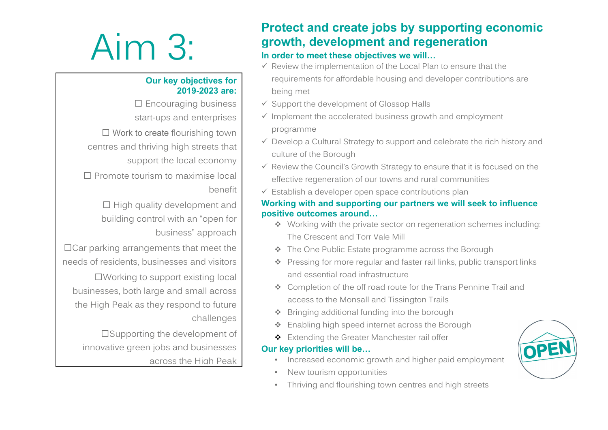# Aim 3:

#### **Our key objectives for 2019-2023 are:**

 $\square$  Encouraging business start-ups and enterprises

 $\Box$  Work to create flourishing town centres and thriving high streets that support the local economy

 $\square$  Promote tourism to maximise local benefit

> $\Box$  High quality development and building control with an "open for business" approach

 $\Box$  Car parking arrangements that meet the needs of residents, businesses and visitors

Working to support existing local businesses, both large and small across the High Peak as they respond to future challenges

□Supporting the development of innovative green jobs and businesses across the High Peak

## **Protect and create jobs by supporting economic growth, development and regeneration**

#### **In order to meet these objectives we will…**

- $\checkmark$  Review the implementation of the Local Plan to ensure that the requirements for affordable housing and developer contributions are being met
- $\checkmark$  Support the development of Glossop Halls
- $\checkmark$  Implement the accelerated business growth and employment programme
- $\checkmark$  Develop a Cultural Strategy to support and celebrate the rich history and culture of the Borough
- $\checkmark$  Review the Council's Growth Strategy to ensure that it is focused on the effective regeneration of our towns and rural communities
- $\checkmark$  Establish a developer open space contributions plan

#### **Working with and supporting our partners we will seek to influence positive outcomes around…**

- Working with the private sector on regeneration schemes including: The Crescent and Torr Vale Mill
- ❖ The One Public Estate programme across the Borough
- Pressing for more regular and faster rail links, public transport links and essential road infrastructure
- Completion of the off road route for the Trans Pennine Trail and access to the Monsall and Tissington Trails
- ❖ Bringing additional funding into the borough
- Enabling high speed internet across the Borough
- Extending the Greater Manchester rail offer

### **Our key priorities will be…**

- Increased economic growth and higher paid employment
- New tourism opportunities
- Thriving and flourishing town centres and high streets